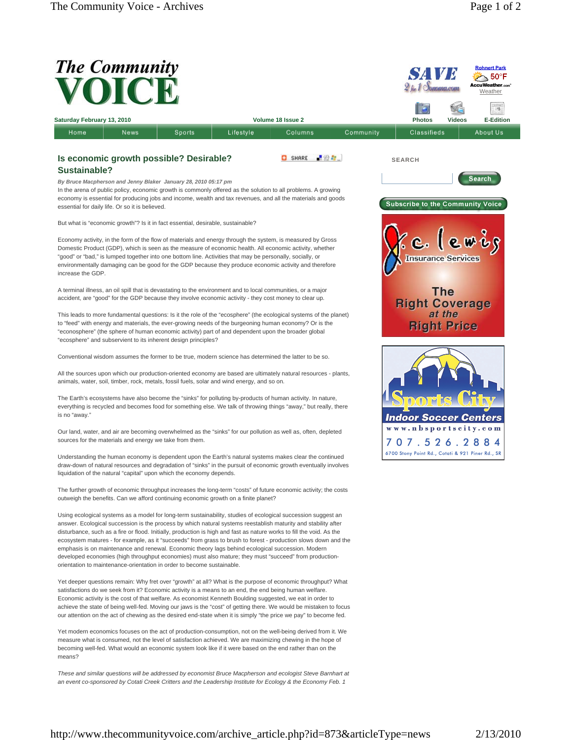